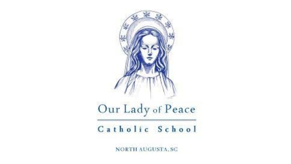

NORTH AUGUSTA, SC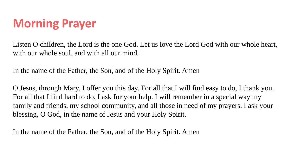#### **Morning Prayer**

Listen O children, the Lord is the one God. Let us love the Lord God with our whole heart, with our whole soul, and with all our mind.

In the name of the Father, the Son, and of the Holy Spirit. Amen

O Jesus, through Mary, I offer you this day. For all that I will find easy to do, I thank you. For all that I find hard to do, I ask for your help. I will remember in a special way my family and friends, my school community, and all those in need of my prayers. I ask your blessing, O God, in the name of Jesus and your Holy Spirit.

In the name of the Father, the Son, and of the Holy Spirit. Amen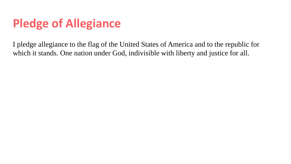#### **Pledge of Allegiance**

I pledge allegiance to the flag of the United States of America and to the republic for which it stands. One nation under God, indivisible with liberty and justice for all.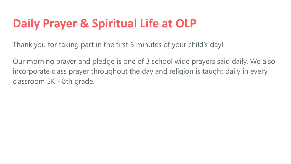#### **Daily Prayer & Spiritual Life at OLP**

Thank you for taking part in the first 5 minutes of your child's day!

Our morning prayer and pledge is one of 3 school wide prayers said daily. We also incorporate class prayer throughout the day and religion is taught daily in every classroom 5K - 8th grade.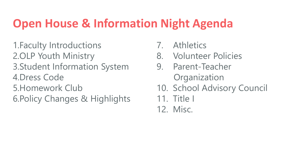#### **Open House & Information Night Agenda**

1.Faculty Introductions 2.OLP Youth Ministry 3.Student Information System 4.Dress Code 5.Homework Club 6.Policy Changes & Highlights

- 7. Athletics
- 8. Volunteer Policies
- 9. Parent-Teacher **Organization**
- 10. School Advisory Council
- 11. Title I
- 12. Misc.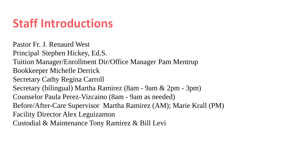#### **Staff Introductions**

Pastor Fr. J. Renaurd West Principal Stephen Hickey, Ed.S. Tuition Manager/Enrollment Dir/Office Manager Pam Mentrup Bookkeeper Michelle Derrick Secretary Cathy Regina Carroll Secretary (bilingual) Martha Ramirez (8am - 9am & 2pm - 3pm) Counselor Paula Perez-Vizcaino (8am - 9am as needed) Before/After-Care Supervisor Martha Ramirez (AM); Marie Krall (PM) Facility Director Alex Leguizamon Custodial & Maintenance Tony Ramirez & Bill Levi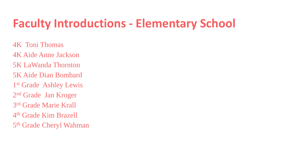#### **Faculty Introductions - Elementary School**

4K Toni Thomas 4K Aide Anne Jackson 5K LaWanda Thornton 5K Aide Dian Bombard 1<sup>st</sup> Grade Ashley Lewis 2nd Grade Jan Kroger 3rd Grade Marie Krall 4th Grade Kim Brazell 5th Grade Cheryl Wahman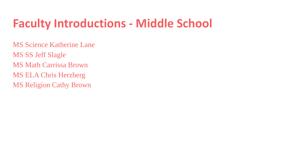#### **Faculty Introductions - Middle School**

MS Science Katherine Lane MS SS Jeff Slagle MS Math Carrissa Brown MS ELA Chris Herzberg MS Religion Cathy Brown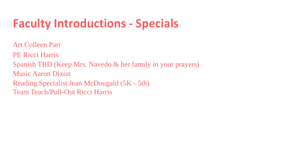#### **Faculty Introductions - Specials**

Art Colleen Parr PE Ricci Harris Spanish TBD (Keep Mrs. Navedo & her family in your prayers) Music Aaron Dixon Reading Specialist Jean McDougald (5K - 5th) Team Teach/Pull-Out Ricci Harris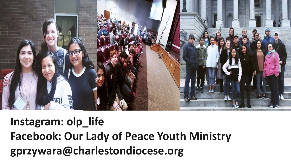

#### **Instagram: olp\_life Facebook: Our Lady of Peace Youth Ministry gprzywara@charlestondiocese.org**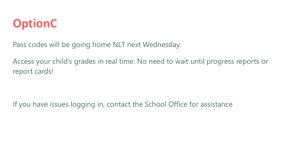

Pass codes will be going home NLT next Wednesday.

Access your child's grades in real time. No need to wait until progress reports or report cards!

If you have issues logging in, contact the School Office for assistance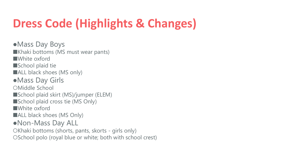## **Dress Code (Highlights & Changes)**

●Mass Day Boys ■Khaki bottoms (MS must wear pants) ■White oxford ■School plaid tie ■ALL black shoes (MS only) ●Mass Day Girls ○Middle School ■School plaid skirt (MS)/jumper (ELEM) ■School plaid cross tie (MS Only) ■White oxford ■ALL black shoes (MS Only) ●Non-Mass Day ALL ○Khaki bottoms (shorts, pants, skorts - girls only)

○School polo (royal blue or white; both with school crest)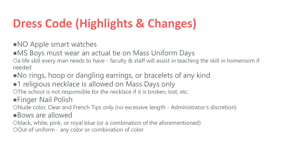## **Dress Code (Highlights & Changes)**

- ●NO Apple smart watches
- MS Boys must wear an actual tie on Mass Uniform Days

○a life skill every man needs to have - faculty & staff will assist in teaching the skill in homeroom if needed

- ●No rings, hoop or dangling earrings, or bracelets of any kind
- •1 religious necklace is allowed on Mass Days only

○The school is not responsible for the necklace if it is broken, lost, etc.

●Finger Nail Polish

○Nude color, Clear and French Tips only (no excessive length - Administrator's discretion)

●Bows are allowed

○black, white, pink, or royal blue (or a combination of the aforementioned)

○Out of uniform - any color or combination of color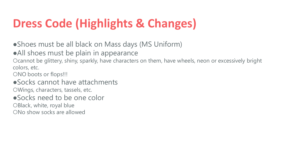## **Dress Code (Highlights & Changes)**

• Shoes must be all black on Mass days (MS Uniform)

●All shoes must be plain in appearance

Ocannot be glittery, shiny, sparkly, have characters on them, have wheels, neon or excessively bright colors, etc.

○NO boots or flops!!!

●Socks cannot have attachments ○Wings, characters, tassels, etc.

●Socks need to be one color

○Black, white, royal blue

○No show socks are allowed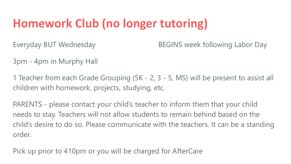### **Homework Club (no longer tutoring)**

Everyday BUT Wednesday **BEGINS** week following Labor Day

3pm - 4pm in Murphy Hall

1 Teacher from each Grade Grouping (5K - 2, 3 - 5, MS) will be present to assist all children with homework, projects, studying, etc.

PARENTS - please contact your child's teacher to inform them that your child needs to stay. Teachers will not allow students to remain behind based on the child's desire to do so. Please communicate with the teachers. It can be a standing order.

Pick up prior to 410pm or you will be charged for AfterCare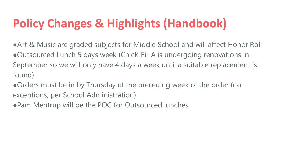### **Policy Changes & Highlights (Handbook)**

●Art & Music are graded subjects for Middle School and will affect Honor Roll ●Outsourced Lunch 5 days week (Chick-Fil-A is undergoing renovations in September so we will only have 4 days a week until a suitable replacement is found)

●Orders must be in by Thursday of the preceding week of the order (no exceptions, per School Administration)

● Pam Mentrup will be the POC for Outsourced lunches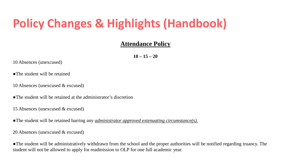#### **Policy Changes & Highlights (Handbook)**

#### **Attendance Policy**

**10 – 15 – 20**

10 Absences (unexcused)

●The student will be retained

10 Absences (unexcused & excused)

●The student will be retained at the administrator's discretion

15 Absences (unexcused & excused)

●The student will be retained barring any *administrator approved extenuating circumstance(s).*

20 Absences (unexcused & excused)

●The student will be administratively withdrawn from the school and the proper authorities will be notified regarding truancy. The student will not be allowed to apply for readmission to OLP for one full academic year.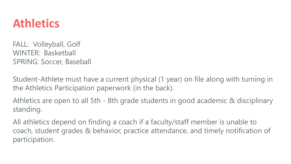#### **Athletics**

FALL: Volleyball, Golf WINTER: Basketball SPRING: Soccer, Baseball

Student-Athlete must have a current physical (1 year) on file along with turning in the Athletics Participation paperwork (in the back).

Athletics are open to all 5th - 8th grade students in good academic & disciplinary standing.

All athletics depend on finding a coach if a faculty/staff member is unable to coach, student grades & behavior, practice attendance, and timely notification of participation.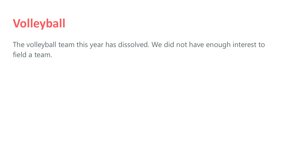#### **Volleyball**

The volleyball team this year has dissolved. We did not have enough interest to field a team.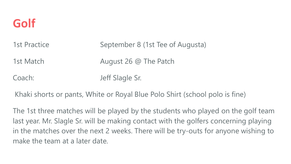#### **Golf**

| 1st Practice | September 8 (1st Tee of Augusta) |
|--------------|----------------------------------|
| 1st Match    | August 26 @ The Patch            |
| Coach:       | Jeff Slagle Sr.                  |

Khaki shorts or pants, White or Royal Blue Polo Shirt (school polo is fine)

The 1st three matches will be played by the students who played on the golf team last year. Mr. Slagle Sr. will be making contact with the golfers concerning playing in the matches over the next 2 weeks. There will be try-outs for anyone wishing to make the team at a later date.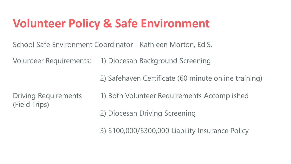#### **Volunteer Policy & Safe Environment**

School Safe Environment Coordinator - Kathleen Morton, Ed.S.

Volunteer Requirements: 1) Diocesan Background Screening

2) Safehaven Certificate (60 minute online training)

(Field Trips)

Driving Requirements 1) Both Volunteer Requirements Accomplished

2) Diocesan Driving Screening

3) \$100,000/\$300,000 Liability Insurance Policy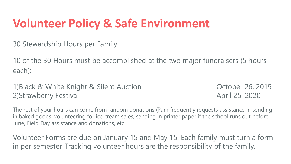#### **Volunteer Policy & Safe Environment**

30 Stewardship Hours per Family

10 of the 30 Hours must be accomplished at the two major fundraisers (5 hours each):

1)Black & White Knight & Silent Auction **Canada Concrete Control Concrete Concrete Concrete Concrete Concrete Concrete Concrete Concrete Concrete Concrete Concrete Concrete Concrete Concrete Concrete Concrete Concrete Conc** 2)Strawberry Festival 25, 2020

The rest of your hours can come from random donations (Pam frequently requests assistance in sending in baked goods, volunteering for ice cream sales, sending in printer paper if the school runs out before June, Field Day assistance and donations, etc.

Volunteer Forms are due on January 15 and May 15. Each family must turn a form in per semester. Tracking volunteer hours are the responsibility of the family.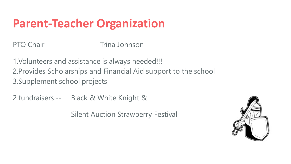#### **Parent-Teacher Organization**

PTO Chair **Trina Johnson** 

1.Volunteers and assistance is always needed!!! 2.Provides Scholarships and Financial Aid support to the school 3.Supplement school projects

2 fundraisers -- Black & White Knight &

Silent Auction Strawberry Festival

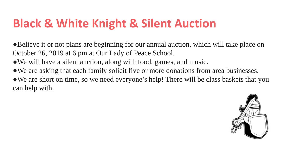#### **Black & White Knight & Silent Auction**

●Believe it or not plans are beginning for our annual auction, which will take place on October 26, 2019 at 6 pm at Our Lady of Peace School.

- We will have a silent auction, along with food, games, and music.
- We are asking that each family solicit five or more donations from area businesses.

• We are short on time, so we need everyone's help! There will be class baskets that you can help with.

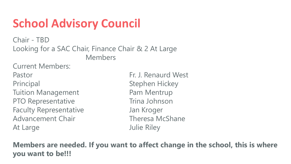#### **School Advisory Council**

Chair - TBD Looking for a SAC Chair, Finance Chair & 2 At Large Members

Current Members: Pastor **Fr. J. Renaurd West** Principal Stephen Hickey Tuition Management **Pam Mentrup** PTO Representative Trina Johnson Faculty Representative Faculty Representative Advancement Chair **Theresa McShane** At Large **At Large 19** and 20 and 20 and 20 and 20 and 20 and 20 and 20 and 20 and 20 and 20 and 20 and 20 and 20 and 20 and 20 and 20 and 20 and 20 and 20 and 20 and 20 and 20 and 20 and 20 and 20 and 20 and 20 and 20 and

**Members are needed. If you want to affect change in the school, this is where you want to be!!!**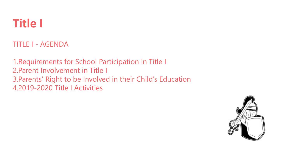

TITLE I - AGENDA

1.Requirements for School Participation in Title I 2.Parent Involvement in Title I 3.Parents' Right to be Involved in their Child's Education 4.2019-2020 Title I Activities

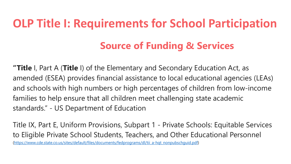# **OLP Title I: Requirements for School Participation**

#### **Source of Funding & Services**

**"Title** I, Part A (**Title** I) of the Elementary and Secondary Education Act, as amended (ESEA) provides financial assistance to local educational agencies (LEAs) and schools with high numbers or high percentages of children from low-income families to help ensure that all children meet challenging state academic standards." - US Department of Education

Title IX, Part E, Uniform Provisions, Subpart 1 - Private Schools: Equitable Services to Eligible Private School Students, Teachers, and Other Educational Personnel ([https://www.cde.state.co.us/sites/default/files/documents/fedprograms/dl/tii\\_a-hqt\\_nonpubschguid.pdf\)](https://www.cde.state.co.us/sites/default/files/documents/fedprograms/dl/tii_a-hqt_nonpubschguid.pdf)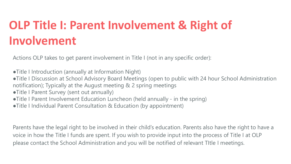### **OLP Title I: Parent Involvement & Right of Involvement**

Actions OLP takes to get parent involvement in Title I (not in any specific order):

- ●Title I Introduction (annually at Information Night)
- ●Title I Discussion at School Advisory Board Meetings (open to public with 24 hour School Administration notification); Typically at the August meeting & 2 spring meetings
- ●Title I Parent Survey (sent out annually)
- ●Title I Parent Involvement Education Luncheon (held annually in the spring)
- ●Title I Individual Parent Consultation & Education (by appointment)

Parents have the legal right to be involved in their child's education. Parents also have the right to have a voice in how the Title I funds are spent. If you wish to provide input into the process of Title I at OLP please contact the School Administration and you will be notified of relevant TItle I meetings.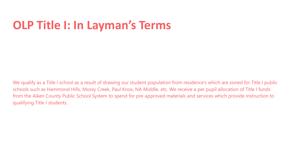#### **OLP Title I: In Layman's Terms**

We qualify as a Title I school as a result of drawing our student population from residence's which are zoned for Title I public schools such as Hammond Hills, Mossy Creek, Paul Knox, NA Middle, etc. We receive a per pupil allocation of Title I funds from the Aiken County Public School System to spend for pre-approved materials and services which provide instruction to qualifying Title I students.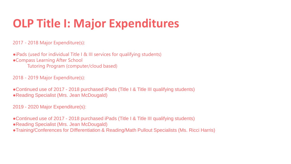#### **OLP Title I: Major Expenditures**

2017 - 2018 Major Expenditure(s):

●iPads (used for individual Title I & III services for qualifying students) ●Compass Learning After School Tutoring Program (computer/cloud based)

2018 - 2019 Major Expenditure(s):

●Continued use of 2017 - 2018 purchased iPads (Title I & Title III qualifying students) ●Reading Specialist (Mrs. Jean McDougald)

2019 - 2020 Major Expenditure(s):

●Continued use of 2017 - 2018 purchased iPads (Title I & Title III qualifying students)

- ●Reading Specialist (Mrs. Jean McDougald)
- ●Training/Conferences for DIfferentiation & Reading/Math Pullout Specialists (Ms. Ricci Harris)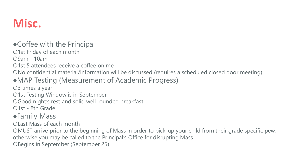#### **Misc.**

#### ● Coffee with the Principal

○1st Friday of each month

○9am - 10am

○1st 5 attendees receive a coffee on me

○No confidential material/information will be discussed (requires a scheduled closed door meeting)

#### ●MAP Testing (Measurement of Academic Progress)

○3 times a year

○1st Testing Window is in September

○Good night's rest and solid well rounded breakfast

○1st - 8th Grade

#### ●Family Mass

○Last Mass of each month

○MUST arrive prior to the beginning of Mass in order to pick-up your child from their grade specific pew, otherwise you may be called to the Principal's Office for disrupting Mass

○Begins in September (September 25)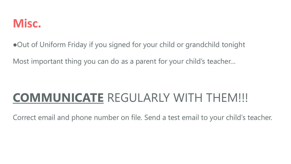

●Out of Uniform Friday if you signed for your child or grandchild tonight

Most important thing you can do as a parent for your child's teacher…

#### **COMMUNICATE** REGULARLY WITH THEM!!!

Correct email and phone number on file. Send a test email to your child's teacher.